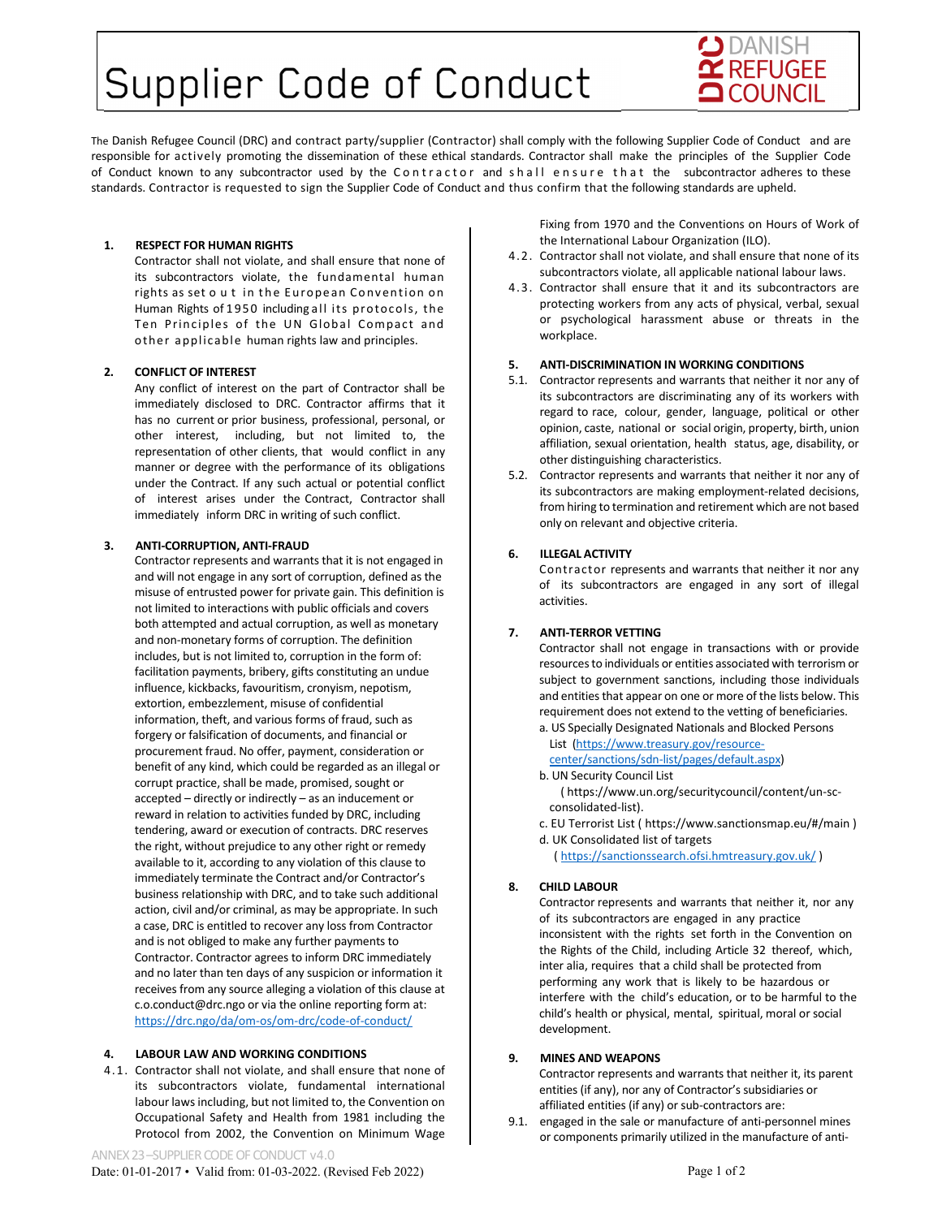# Supplier Code of Conduct



The Danish Refugee Council (DRC) and contract party/supplier (Contractor) shall comply with the following Supplier Code of Conduct and are responsible for actively promoting the dissemination of these ethical standards. Contractor shall make the principles of the Supplier Code of Conduct known to any subcontractor used by the Contractor and shall ensure that the subcontractor adheres to these standards. Contractor is requested to sign the Supplier Code of Conduct and thus confirm that the following standards are upheld.

# **1. RESPECT FOR HUMAN RIGHTS**

Contractor shall not violate, and shall ensure that none of its subcontractors violate, the fundamental human rights as set o ut in the European Convention on Human Rights of 1950 including all its protocols, the Ten Principles of the UN Global Compact and other applicable human rights law and principles.

# **2. CONFLICT OF INTEREST**

Any conflict of interest on the part of Contractor shall be immediately disclosed to DRC. Contractor affirms that it has no current or prior business, professional, personal, or other interest, including, but not limited to, the representation of other clients, that would conflict in any manner or degree with the performance of its obligations under the Contract. If any such actual or potential conflict of interest arises under the Contract, Contractor shall immediately inform DRC in writing of such conflict.

## **3. ANTI‐CORRUPTION, ANTI‐FRAUD**

Contractor represents and warrants that it is not engaged in and will not engage in any sort of corruption, defined as the misuse of entrusted power for private gain. This definition is not limited to interactions with public officials and covers both attempted and actual corruption, as well as monetary and non‐monetary forms of corruption. The definition includes, but is not limited to, corruption in the form of: facilitation payments, bribery, gifts constituting an undue influence, kickbacks, favouritism, cronyism, nepotism, extortion, embezzlement, misuse of confidential information, theft, and various forms of fraud, such as forgery or falsification of documents, and financial or procurement fraud. No offer, payment, consideration or benefit of any kind, which could be regarded as an illegal or corrupt practice, shall be made, promised, sought or accepted – directly or indirectly – as an inducement or reward in relation to activities funded by DRC, including tendering, award or execution of contracts. DRC reserves the right, without prejudice to any other right or remedy available to it, according to any violation of this clause to immediately terminate the Contract and/or Contractor's business relationship with DRC, and to take such additional action, civil and/or criminal, as may be appropriate. In such a case, DRC is entitled to recover any loss from Contractor and is not obliged to make any further payments to Contractor. Contractor agrees to inform DRC immediately and no later than ten days of any suspicion or information it receives from any source alleging a violation of this clause at c.o.conduct@drc.ngo or via the online reporting form at: https://drc.ngo/da/om‐os/om‐drc/code‐of‐conduct/

# **4. LABOUR LAW AND WORKING CONDITIONS**

4.1. Contractor shall not violate, and shall ensure that none of its subcontractors violate, fundamental international labour laws including, but not limited to, the Convention on Occupational Safety and Health from 1981 including the Protocol from 2002, the Convention on Minimum Wage Fixing from 1970 and the Conventions on Hours of Work of the International Labour Organization (ILO).

- 4.2. Contractor shall not violate, and shall ensure that none of its subcontractors violate, all applicable national labour laws.
- 4.3. Contractor shall ensure that it and its subcontractors are protecting workers from any acts of physical, verbal, sexual or psychological harassment abuse or threats in the workplace.

## **5. ANTI‐DISCRIMINATION IN WORKING CONDITIONS**

- 5.1. Contractor represents and warrants that neither it nor any of its subcontractors are discriminating any of its workers with regard to race, colour, gender, language, political or other opinion, caste, national or social origin, property, birth, union affiliation, sexual orientation, health status, age, disability, or other distinguishing characteristics.
- 5.2. Contractor represents and warrants that neither it nor any of its subcontractors are making employment‐related decisions, from hiring to termination and retirement which are not based only on relevant and objective criteria.

## **6. ILLEGAL ACTIVITY**

Contractor represents and warrants that neither it nor any of its subcontractors are engaged in any sort of illegal activities.

## **7. ANTI‐TERROR VETTING**

Contractor shall not engage in transactions with or provide resources to individuals or entities associated with terrorism or subject to government sanctions, including those individuals and entities that appear on one or more of the lists below. This requirement does not extend to the vetting of beneficiaries.

a. US Specially Designated Nationals and Blocked Persons List (https://www.treasury.gov/resource‐

center/sanctions/sdn‐list/pages/default.aspx)

# b. UN Security Council List

 ( https://www.un.org/securitycouncil/content/un‐sc‐ consolidated‐list).

- c. EU Terrorist List ( https://www.sanctionsmap.eu/#/main )
- d. UK Consolidated list of targets ( https://sanctionssearch.ofsi.hmtreasury.gov.uk/ )

# **8. CHILD LABOUR**

Contractor represents and warrants that neither it, nor any of its subcontractors are engaged in any practice inconsistent with the rights set forth in the Convention on the Rights of the Child, including Article 32 thereof, which, inter alia, requires that a child shall be protected from performing any work that is likely to be hazardous or interfere with the child's education, or to be harmful to the child's health or physical, mental, spiritual, moral or social development.

## **9. MINES AND WEAPONS**

Contractor represents and warrants that neither it, its parent entities (if any), nor any of Contractor's subsidiaries or affiliated entities (if any) or sub‐contractors are:

9.1. engaged in the sale or manufacture of anti-personnel mines or components primarily utilized in the manufacture of anti‐